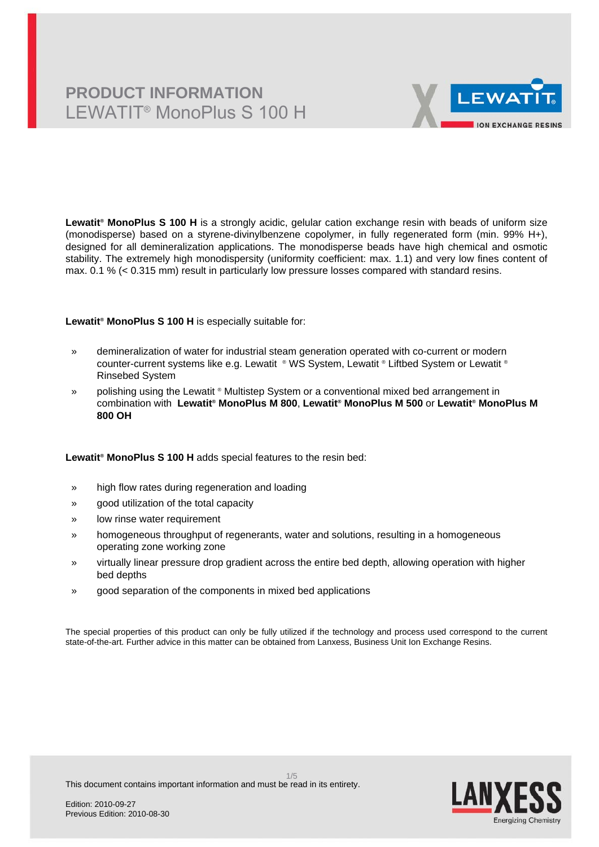## **PRODUCT INFORMATION** LEWATIT® MonoPlus S 100 H



**Lewatit® MonoPlus S 100 H** is a strongly acidic, gelular cation exchange resin with beads of uniform size (monodisperse) based on a styrene-divinylbenzene copolymer, in fully regenerated form (min. 99% H+), designed for all demineralization applications. The monodisperse beads have high chemical and osmotic stability. The extremely high monodispersity (uniformity coefficient: max. 1.1) and very low fines content of max. 0.1 % (< 0.315 mm) result in particularly low pressure losses compared with standard resins.

### **Lewatit® MonoPlus S 100 H** is especially suitable for:

- » demineralization of water for industrial steam generation operated with co-current or modern counter-current systems like e.g. Lewatit ® WS System, Lewatit ® Liftbed System or Lewatit ® Rinsebed System
- » polishing using the Lewatit ® Multistep System or a conventional mixed bed arrangement in combination with **Lewatit® MonoPlus M 800**, **Lewatit® MonoPlus M 500** or **Lewatit® MonoPlus M 800 OH**

### **Lewatit® MonoPlus S 100 H** adds special features to the resin bed:

- » high flow rates during regeneration and loading
- » good utilization of the total capacity
- » low rinse water requirement
- » homogeneous throughput of regenerants, water and solutions, resulting in a homogeneous operating zone working zone
- » virtually linear pressure drop gradient across the entire bed depth, allowing operation with higher bed depths
- » good separation of the components in mixed bed applications

The special properties of this product can only be fully utilized if the technology and process used correspond to the current state-of-the-art. Further advice in this matter can be obtained from Lanxess, Business Unit Ion Exchange Resins.

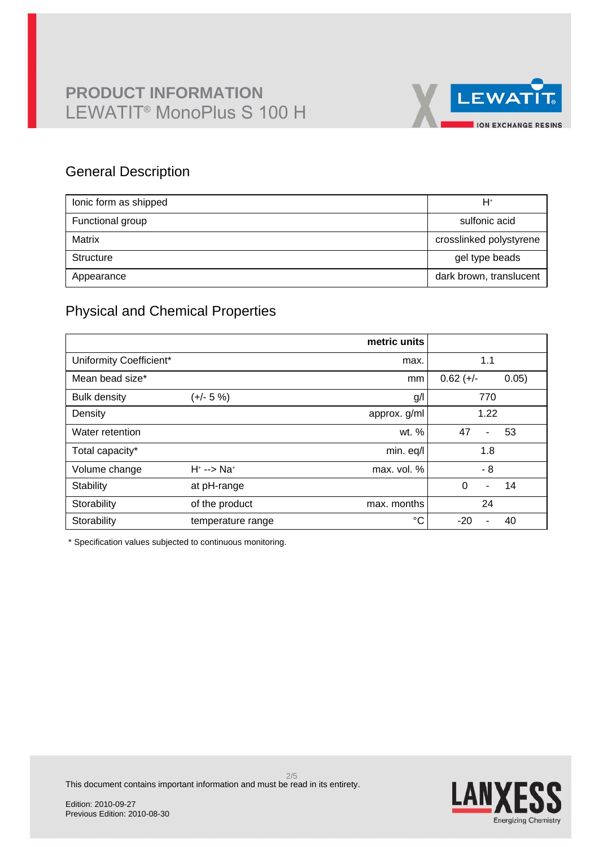

### General Description

| lonic form as shipped | H+                      |
|-----------------------|-------------------------|
| Functional group      | sulfonic acid           |
| Matrix                | crosslinked polystyrene |
| Structure             | gel type beads          |
| Appearance            | dark brown, translucent |

## Physical and Chemical Properties

|                         |                            | metric units |                                  |
|-------------------------|----------------------------|--------------|----------------------------------|
| Uniformity Coefficient* |                            | max.         | 1.1                              |
| Mean bead size*         |                            | mm           | $0.62 (+/-)$<br>0.05)            |
| <b>Bulk density</b>     | (+/- 5 %)                  | g/           | 770                              |
| Density                 |                            | approx. g/ml | 1.22                             |
| Water retention         |                            | wt. %        | 47<br>53<br>$\blacksquare$       |
| Total capacity*         |                            | min. eq/l    | 1.8                              |
| Volume change           | $H^* \longrightarrow Na^*$ | max. vol. %  | - 8                              |
| Stability               | at pH-range                |              | $\Omega$<br>14<br>$\blacksquare$ |
| Storability             | of the product             | max. months  | 24                               |
| Storability             | temperature range          | °C           | $-20$<br>40<br>ä,                |

\* Specification values subjected to continuous monitoring.

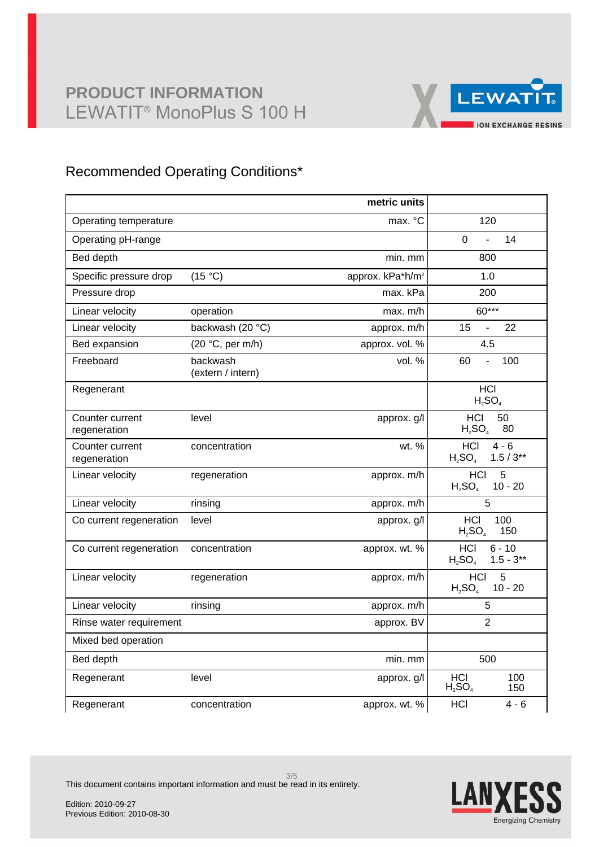

## Recommended Operating Conditions\*

|                                 |                               | metric units                 |                                                    |
|---------------------------------|-------------------------------|------------------------------|----------------------------------------------------|
| Operating temperature           |                               | max. °C                      | 120                                                |
| Operating pH-range              |                               |                              | $\mathbf 0$<br>14<br>$\overline{a}$                |
| Bed depth                       |                               | min. mm                      | 800                                                |
| Specific pressure drop          | (15 °C)                       | approx. kPa*h/m <sup>2</sup> | 1.0                                                |
| Pressure drop                   |                               | max. kPa                     | 200                                                |
| Linear velocity                 | operation                     | max. m/h                     | 60***                                              |
| Linear velocity                 | backwash (20 °C)              | approx. m/h                  | 22<br>15<br>ä,                                     |
| Bed expansion                   | (20 °C, per m/h)              | approx. vol. %               | 4.5                                                |
| Freeboard                       | backwash<br>(extern / intern) | vol. %                       | 60<br>100<br>$\blacksquare$                        |
| Regenerant                      |                               |                              | <b>HCI</b><br>$H_2SO_4$                            |
| Counter current<br>regeneration | level                         | approx. g/l                  | HCI<br>50<br>$H_2SO_4$<br>80                       |
| Counter current<br>regeneration | concentration                 | wt. %                        | <b>HCI</b><br>$4 - 6$<br>$1.5/3**$<br>$H_2SO_4$    |
| Linear velocity                 | regeneration                  | approx. m/h                  | <b>HCI</b><br>5<br>$H_2SO_4$<br>$10 - 20$          |
| Linear velocity                 | rinsing                       | approx. m/h                  | 5                                                  |
| Co current regeneration         | level                         | approx. g/l                  | <b>HCI</b><br>100<br>$H_2SO_4$<br>150              |
| Co current regeneration         | concentration                 | approx. wt. %                | <b>HCI</b><br>$6 - 10$<br>$1.5 - 3**$<br>$H_2SO_4$ |
| Linear velocity                 | regeneration                  | approx. m/h                  | <b>HCI</b><br>5<br>$H_2SO_4$<br>$10 - 20$          |
| Linear velocity                 | rinsing                       | approx. m/h                  | 5                                                  |
| Rinse water requirement         |                               | approx. BV                   | $\overline{2}$                                     |
| Mixed bed operation             |                               |                              |                                                    |
| Bed depth                       |                               | min. mm                      | 500                                                |
| Regenerant                      | level                         | approx. g/l                  | HCI<br>100<br>$H_2SO_4$<br>150                     |
| Regenerant                      | concentration                 | approx. wt. %                | HCI<br>$4 - 6$                                     |



This document contains important information and must be read in its entirety.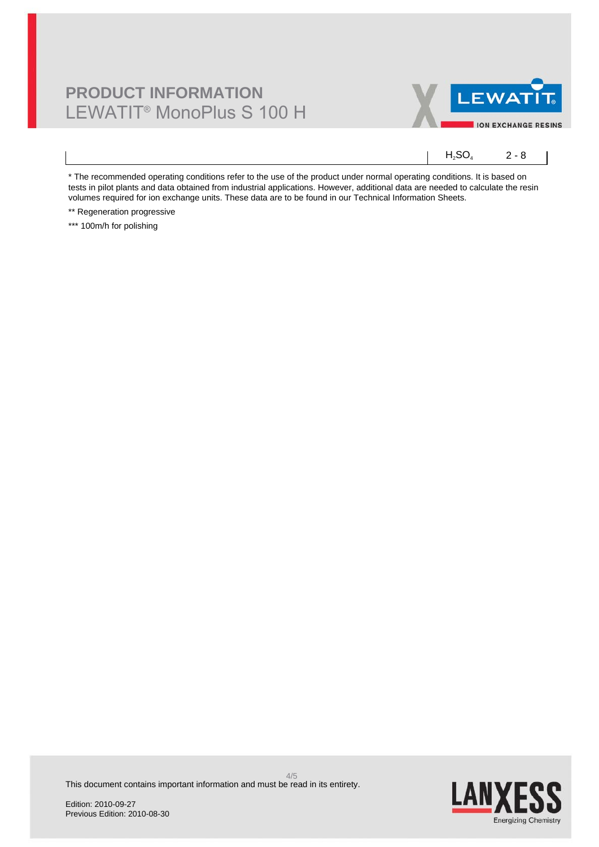# **PRODUCT INFORMATION** LEWATIT® MonoPlus S 100 H



 $H_2SO_4$  2 - 8

\* The recommended operating conditions refer to the use of the product under normal operating conditions. It is based on tests in pilot plants and data obtained from industrial applications. However, additional data are needed to calculate the resin volumes required for ion exchange units. These data are to be found in our Technical Information Sheets.

\*\* Regeneration progressive

\*\*\* 100m/h for polishing

**LAN** Energizing Chemistry

This document contains important information and must be read in its entirety.